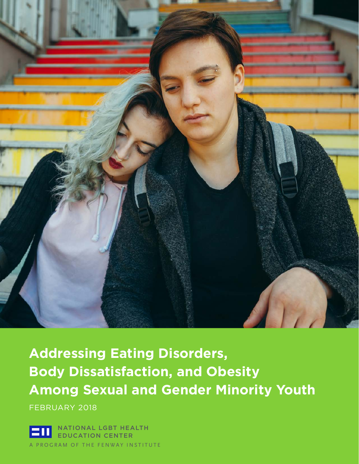

**Addressing Eating Disorders, Body Dissatisfaction, and Obesity Among Sexual and Gender Minority Youth**

FEBRUARY 2018

ATIONAL LGBT HEALTH **ATION CENTER** OGRAM OF THE FENWAY INSTITUTE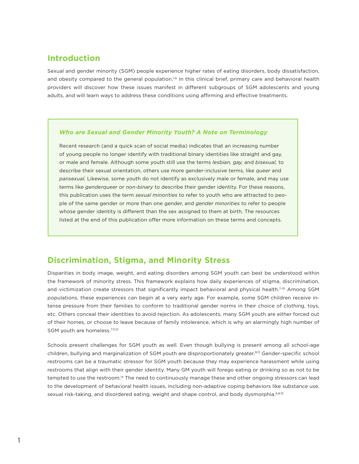### **Introduction**

Sexual and gender minority (SGM) people experience higher rates of eating disorders, body dissatisfaction, and obesity compared to the general population.<sup>1-6</sup> In this clinical brief, primary care and behavioral health providers will discover how these issues manifest in different subgroups of SGM adolescents and young adults, and will learn ways to address these conditions using affirming and effective treatments.

#### *Who are Sexual and Gender Minority Youth? A Note on Terminology*

Recent research (and a quick scan of social media) indicates that an increasing number of young people no longer identify with traditional binary identities like straight and gay, or male and female. Although some youth still use the terms *lesbian, gay,* and *bisexual,* to describe their sexual orientation, others use more gender-inclusive terms, like *queer* and *pansexual.* Likewise, some youth do not identify as exclusively male or female, and may use terms like *genderqueer* or *non-binary* to describe their gender identity. For these reasons, this publication uses the term *sexual minorities* to refer to youth who are attracted to people of the same gender or more than one gender, and *gender minorities* to refer to people whose gender identity is different than the sex assigned to them at birth. The resources listed at the end of this publication offer more information on these terms and concepts.

#### **Discrimination, Stigma, and Minority Stress**

Disparities in body image, weight, and eating disorders among SGM youth can best be understood within the framework of minority stress. This framework explains how daily experiences of stigma, discrimination, and victimization create stressors that significantly impact behavioral and physical health.<sup>7-10</sup> Among SGM populations, these experiences can begin at a very early age. For example, some SGM children receive intense pressure from their families to conform to traditional gender norms in their choice of clothing, toys, etc. Others conceal their identities to avoid rejection. As adolescents, many SGM youth are either forced out of their homes, or choose to leave because of family intolerance, which is why an alarmingly high number of SGM youth are homeless.<sup>7,11,12</sup>

Schools present challenges for SGM youth as well. Even though bullying is present among all school-age children, bullying and marginalization of SGM youth are disproportionately greater.<sup>9,13</sup> Gender-specific school restrooms can be a traumatic stressor for SGM youth because they may experience harassment while using restrooms that align with their gender identity. Many GM youth will forego eating or drinking so as not to be tempted to use the restroom.<sup>14</sup> The need to continuously manage these and other ongoing stressors can lead to the development of behavioral health issues, including non-adaptive coping behaviors like substance use, sexual risk-taking, and disordered eating, weight and shape control, and body dysmorphia.<sup>6,8,15</sup>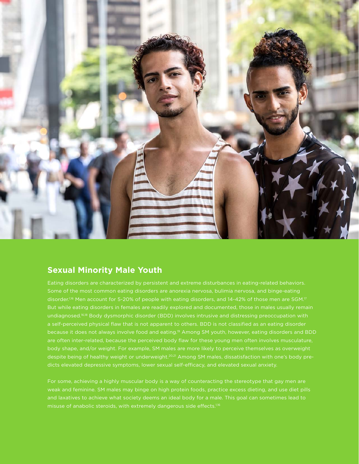

### **Sexual Minority Male Youth**

Eating disorders are characterized by persistent and extreme disturbances in eating-related behaviors. Some of the most common eating disorders are anorexia nervosa, bulimia nervosa, and binge-eating But while eating disorders in females are readily explored and documented, those in males usually remain undiagnosed.16,18 Body dysmorphic disorder (BDD) involves intrusive and distressing preoccupation with a self-perceived physical flaw that is not apparent to others. BDD is not classified as an eating disorder are often inter-related, because the perceived body flaw for these young men often involves musculature, body shape, and/or weight. For example, SM males are more likely to perceive themselves as overweight despite being of healthy weight or underweight.<sup>20,21</sup> Among SM males, dissatisfaction with one's body predicts elevated depressive symptoms, lower sexual self-efficacy, and elevated sexual anxiety.

For some, achieving a highly muscular body is a way of counteracting the stereotype that gay men are weak and feminine. SM males may binge on high protein foods, practice excess dieting, and use diet pills and laxatives to achieve what society deems an ideal body for a male. This goal can sometimes lead to misuse of anabolic steroids, with extremely dangerous side effects.<sup>1,16</sup>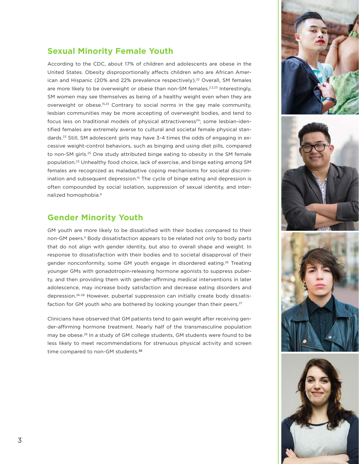

### **Sexual Minority Female Youth**

According to the CDC, about 17% of children and adolescents are obese in the United States. Obesity disproportionally affects children who are African American and Hispanic (20% and 22% prevalence respectively).<sup>22</sup> Overall, SM females are more likely to be overweight or obese than non-SM females.<sup>2,3,23</sup> Interestingly, SM women may see themselves as being of a healthy weight even when they are overweight or obese.<sup>15,23</sup> Contrary to social norms in the gay male community, lesbian communities may be more accepting of overweight bodies, and tend to focus less on traditional models of physical attractiveness<sup>24</sup>; some lesbian-identified females are extremely averse to cultural and societal female physical standards.23 Still, SM adolescent girls may have 3-4 times the odds of engaging in excessive weight-control behaviors, such as binging and using diet pills, compared to non-SM girls.<sup>25</sup> One study attributed binge eating to obesity in the SM female population.23 Unhealthy food choice, lack of exercise, and binge eating among SM females are recognized as maladaptive coping mechanisms for societal discrimination and subsequent depression.<sup>15</sup> The cycle of binge eating and depression is often compounded by social isolation, suppression of sexual identity, and internalized homophobia.6

#### **Gender Minority Youth**

GM youth are more likely to be dissatisfied with their bodies compared to their non-GM peers.<sup>5</sup> Body dissatisfaction appears to be related not only to body parts that do not align with gender identity, but also to overall shape and weight. In response to dissatisfaction with their bodies and to societal disapproval of their gender nonconformity, some GM youth engage in disordered eating.<sup>26</sup> Treating younger GMs with gonadotropin-releasing hormone agonists to suppress puberty, and then providing them with gender-affirming medical interventions in later adolescence, may increase body satisfaction and decrease eating disorders and depression.26-28 However, pubertal suppression can initially create body dissatisfaction for GM youth who are bothered by looking younger than their peers.<sup>27</sup>

Clinicians have observed that GM patients tend to gain weight after receiving gender-affirming hormone treatment. Nearly half of the transmasculine population may be obese.<sup>29</sup> In a study of GM college students, GM students were found to be less likely to meet recommendations for strenuous physical activity and screen time compared to non-GM students.<sup>30</sup>





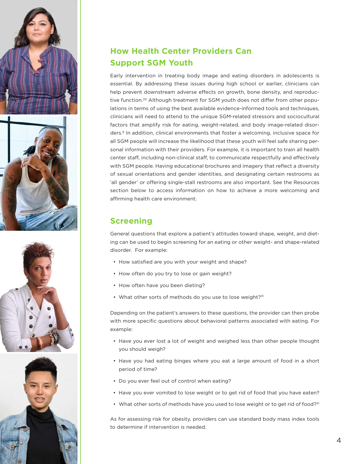







# **How Health Center Providers Can Support SGM Youth**

Early intervention in treating body image and eating disorders in adolescents is essential. By addressing these issues during high school or earlier, clinicians can help prevent downstream adverse effects on growth, bone density, and reproductive function.<sup>20</sup> Although treatment for SGM youth does not differ from other populations in terms of using the best available evidence-informed tools and techniques, clinicians will need to attend to the unique SGM-related stressors and sociocultural factors that amplify risk for eating, weight-related, and body image-related disorders.6 In addition, clinical environments that foster a welcoming, inclusive space for all SGM people will increase the likelihood that these youth will feel safe sharing personal information with their providers. For example, it is important to train all health center staff, including non-clinical staff, to communicate respectfully and effectively with SGM people. Having educational brochures and imagery that reflect a diversity of sexual orientations and gender identities, and designating certain restrooms as 'all gender' or offering single-stall restrooms are also important. See the Resources section below to access information on how to achieve a more welcoming and affirming health care environment.

### **Screening**

General questions that explore a patient's attitudes toward shape, weight, and dieting can be used to begin screening for an eating or other weight- and shape-related disorder. For example:

- How satisfied are you with your weight and shape?
- How often do you try to lose or gain weight?
- How often have you been dieting?
- What other sorts of methods do you use to lose weight?<sup>31</sup>

Depending on the patient's answers to these questions, the provider can then probe with more specific questions about behavioral patterns associated with eating. For example:

- Have you ever lost a lot of weight and weighed less than other people thought you should weigh?
- Have you had eating binges where you eat a large amount of food in a short period of time?
- Do you ever feel out of control when eating?
- Have you ever vomited to lose weight or to get rid of food that you have eaten?
- What other sorts of methods have you used to lose weight or to get rid of food?<sup>31</sup>

As for assessing risk for obesity, providers can use standard body mass index tools to determine if intervention is needed.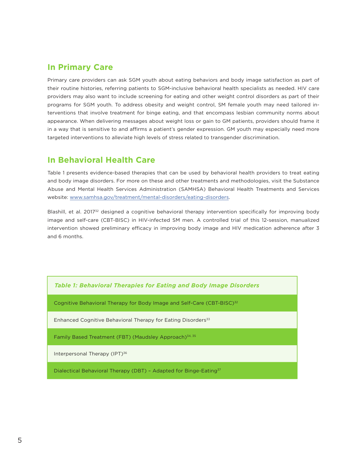#### **In Primary Care**

Primary care providers can ask SGM youth about eating behaviors and body image satisfaction as part of their routine histories, referring patients to SGM-inclusive behavioral health specialists as needed. HIV care providers may also want to include screening for eating and other weight control disorders as part of their programs for SGM youth. To address obesity and weight control, SM female youth may need tailored interventions that involve treatment for binge eating, and that encompass lesbian community norms about appearance. When delivering messages about weight loss or gain to GM patients, providers should frame it in a way that is sensitive to and affirms a patient's gender expression. GM youth may especially need more targeted interventions to alleviate high levels of stress related to transgender discrimination.

### **In Behavioral Health Care**

Table 1 presents evidence-based therapies that can be used by behavioral health providers to treat eating and body image disorders. For more on these and other treatments and methodologies, visit the Substance Abuse and Mental Health Services Administration (SAMHSA) Behavioral Health Treatments and Services website: www.samhsa.gov/treatment/mental-disorders/eating-disorders.

Blashill, et al. 2017<sup>32</sup> designed a cognitive behavioral therapy intervention specifically for improving body image and self-care (CBT-BISC) in HIV-infected SM men. A controlled trial of this 12-session, manualized intervention showed preliminary efficacy in improving body image and HIV medication adherence after 3 and 6 months.

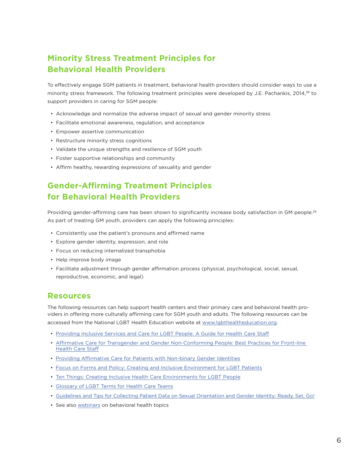# **Minority Stress Treatment Principles for Behavioral Health Providers**

To effectively engage SGM patients in treatment, behavioral health providers should consider ways to use a minority stress framework. The following treatment principles were developed by J.E. Pachankis, 2014,<sup>38</sup> to support providers in caring for SGM people:

- Acknowledge and normalize the adverse impact of sexual and gender minority stress
- Facilitate emotional awareness, regulation, and acceptance
- Empower assertive communication
- Restructure minority stress cognitions
- Validate the unique strengths and resilience of SGM youth
- Foster supportive relationships and community
- Affirm healthy, rewarding expressions of sexuality and gender

## **Gender-Affirming Treatment Principles for Behavioral Health Providers**

Providing gender-affirming care has been shown to significantly increase body satisfaction in GM people.<sup>26</sup> As part of treating GM youth, providers can apply the following principles:

- Consistently use the patient's pronouns and affirmed name
- Explore gender identity, expression, and role
- Focus on reducing internalized transphobia
- Help improve body image
- Facilitate adjustment through gender affirmation process (physical, psychological, social, sexual, reproductive, economic, and legal)

#### **Resources**

The following resources can help support health centers and their primary care and behavioral health providers in offering more culturally affirming care for SGM youth and adults. The following resources can be accessed from the National LGBT Health Education website at www.lgbthealtheducation.org.

- Providing Inclusive Services and Care for LGBT People: A Guide for Health Care Staff
- Affirmative Care for Transgender and Gender Non-Conforming People: Best Practices for Front-line Health Care Staff
- Providing Affirmative Care for Patients with Non-binary Gender Identities
- Focus on Forms and Policy: Creating and Inclusive Environment for LGBT Patients
- Ten Things: Creating Inclusive Health Care Environments for LGBT People
- Glossary of LGBT Terms for Health Care Teams
- Guidelines and Tips for Collecting Patient Data on Sexual Orientation and Gender Identity: Ready, Set, Go!
- See also webinars on behavioral health topics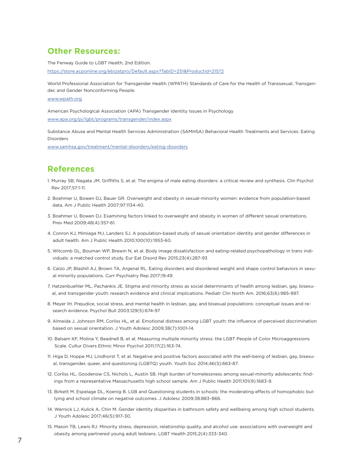#### **Other Resources:**

The Fenway Guide to LGBT Health, 2nd Edition.

https://store.acponline.org/ebizatpro/Default.aspx?TabID=251&ProductId=21572

World Professional Association for Transgender Health (WPATH) Standards of Care for the Health of Transsexual, Transgender, and Gender Nonconforming People.

#### www.wpath.org

American Psychological Association (APA) Transgender Identity Issues in Psychology

www.apa.org/pi/lgbt/programs/transgender/index.aspx

Substance Abuse and Mental Health Services Administration (SAMHSA) Behavioral Health Treatments and Services: Eating Disorders

www.samhsa.gov/treatment/mental-disorders/eating-disorders

#### **References**

- 1. Murray SB, Nagata JM, Griffiths S, et al. The enigma of male eating disorders: a critical review and synthesis. Clin Psychol Rev 2017;57:1-11.
- 2. Boehmer U, Bowen DJ, Bauer GR. Overweight and obesity in sexual-minority women: evidence from population-based data. Am J Public Health 2007;97:1134-40.
- 3. Boehmer U, Bowen DJ. Examining factors linked to overweight and obesity in women of different sexual orientations. Prev Med 2009;48(4):357-61.
- 4. Conron KJ, Mimiaga MJ, Landers SJ. A population-based study of sexual orientation identity and gender differences in adult health. Am J Public Health 2010;100(10):1953-60.
- 5. Witcomb GL, Bouman WP, Brewin N, et al. Body image dissatisfaction and eating-related psychopathology in trans individuals: a matched control study. Eur Eat Disord Rev 2015;23(4):287-93
- 6. Calzo JP, Blashill AJ, Brown TA, Argenal RL. Eating disorders and disordered weight and shape control behaviors in sexual minority populations. Curr Psychiatry Rep 2017;19:49.
- 7. Hatzenbuehler ML, Pachankis JE. Stigma and minority stress as social determinants of health among lesbian, gay, bisexual, and transgender youth: research evidence and clinical implications. Pediatr Clin North Am. 2016;63(6):985-997.
- 8. Meyer IH. Prejudice, social stress, and mental health in lesbian, gay, and bisexual populations: conceptual issues and research evidence. Psychol Bull 2003;129(5):674-97
- 9. Almeida J, Johnson RM, Corliss HL, et al. Emotional distress among LGBT youth: the influence of perceived discrimination based on sexual orientation. J Youth Adolesc 2009;38(7):1001-14.
- 10. Balsam KF, Molina Y, Beadnell B, et al. Measuring multiple minority stress: the LGBT People of Color Microaggressions Scale. Cultur Divers Ethnic Minor Psychol 2011;17(2):163-74.
- 11. Higa D, Hoppe MJ, Lindhorst T, et al. Negative and positive factors associated with the well-being of lesbian, gay, bisexual, transgender, queer, and questioning (LGBTQ) youth. Youth Soc 2014;46(5):663-87.
- 12. Corliss HL, Goodenow CS, Nichols L, Austin SB. High burden of homelessness among sexual-minority adolescents: findings from a representative Massachusetts high school sample. Am J Public Health 2011;101(9):1683-9.
- 13. Birkett M, Espelage DL, Koenig B. LGB and Questioning students in schools: the moderating effects of homophobic bullying and school climate on negative outcomes. J Adolesc 2009;38:883–866.
- 14. Wernick LJ, Kulick A, Chin M. Gender identity disparities in bathroom safety and wellbeing among high school students. J Youth Adolesc 2017;46(5):917-30.
- 15. Mason TB, Lewis RJ. Minority stress, depression, relationship quality, and alcohol use: associations with overweight and obesity among partnered young adult lesbians. LGBT Health 2015;2(4):333-340.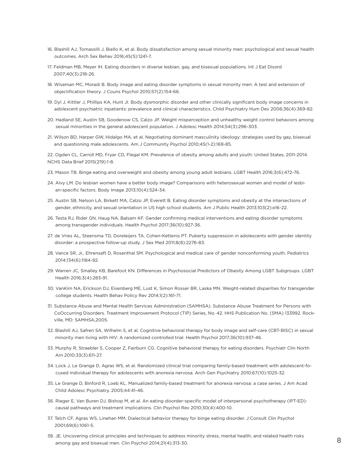- 16. Blashill AJ, Tomassilli J, Biello K, et al. Body dissatisfaction among sexual minority men: psychological and sexual health outcomes. Arch Sex Behav 2016;45(5):1241-7.
- 17. Feldman MB, Meyer IH. Eating disorders in diverse lesbian, gay, and bisexual populations. Int J Eat Disord 2007;40(3):218-26.
- 18. Wiseman MC, Moradi B. Body image and eating disorder symptoms in sexual minority men: A test and extension of objectification theory. J Couns Psychol 2010;57(2):154-66.
- 19. Dyl J, Kittler J, Phillips KA, Hunt JI. Body dysmorphic disorder and other clinically significant body image concerns in adolescent psychiatric inpatients: prevalence and clinical characteristics. Child Psychiatry Hum Dev 2006;36(4):369-82.
- 20. Hadland SE, Austin SB, Goodenow CS, Calzo JP. Weight misperception and unhealthy weight control behaviors among sexual minorities in the general adolescent population. J Adolesc Health 2014;54(3):296-303.
- 21. Wilson BD, Harper GW, Hidalgo MA, et al. Negotiating dominant masculinity ideology: strategies used by gay, bisexual and questioning male adolescents. Am J Community Psychol 2010;45(1-2):169-85.

22. Ogden CL, Carroll MD, Fryar CD, Flegal KM. Prevalence of obesity among adults and youth: United States, 2011-2014. NCHS Data Brief 2015(219):1-8.

- 23. Mason TB. Binge eating and overweight and obesity among young adult lesbians. LGBT Health 2016;3(6):472-76.
- 24. Alvy LM. Do lesbian women have a better body image? Comparisons with heterosexual women and model of lesbian-specific factors. Body Image 2013;10(4):524-34.
- 25. Austin SB, Nelson LA, Birkett MA, Calzo JP, Everett B. Eating disorder symptoms and obesity at the intersections of gender, ethnicity, and sexual orientation in US high school students. Am J Public Health 2013;103(2):e16-22.
- 26. Testa RJ, Rider GN, Haug NA, Balsam KF. Gender confirming medical interventions and eating disorder symptoms among transgender individuals. Health Psychol 2017;36(10):927-36.
- 27. de Vries AL, Steensma TD, Doreleijers TA, Cohen-Kettenis PT. Puberty suppression in adolescents with gender identity disorder: a prospective follow-up study. J Sex Med 2011;8(8):2276-83.
- 28. Vance SR, Jr., Ehrensaft D, Rosenthal SM. Psychological and medical care of gender nonconforming youth. Pediatrics 2014;134(6):1184-92.
- 29. Warren JC, Smalley KB, Barefoot KN. Differences in Psychosocial Predictors of Obesity Among LGBT Subgroups. LGBT Health 2016;3(4):283-91.
- 30. VanKim NA, Erickson DJ, Eisenberg ME, Lust K, Simon Rosser BR, Laska MN. Weight-related disparities for transgender college students. Health Behav Policy Rev 2014;1(2):161-71.
- 31. Substance Abuse and Mental Health Services Administration (SAMHSA). Substance Abuse Treatment for Persons with CoOccurring Disorders. Treatment Improvement Protocol (TIP) Series, No. 42. HHS Publication No. (SMA) 133992. Rockville, MD: SAMHSA,2005.
- 32. Blashill AJ, Safren SA, Wilhelm S, et al. Cognitive behavioral therapy for body image and self-care (CBT-BISC) in sexual minority men living with HIV: A randomized controlled trial. Health Psychol 2017;36(10):937-46.
- 33. Murphy R, Straebler S, Cooper Z, Fairburn CG. Cognitive behavioral therapy for eating disorders. Psychiatr Clin North Am 2010;33(3):611-27.
- 34. Lock J, Le Grange D, Agras WS, et al. Randomized clinical trial comparing family-based treatment with adolescent-focused individual therapy for adolescents with anorexia nervosa. Arch Gen Psychiatry 2010;67(10):1025-32.
- 35. Le Grange D, Binford R, Loeb KL. Manualized family-based treatment for anorexia nervosa: a case series. J Am Acad Child Adolesc Psychiatry. 2005;44:41-46.
- 36. Rieger E, Van Buren DJ, Bishop M, et al. An eating disorder-specific model of interpersonal psychotherapy (IPT-ED): causal pathways and treatment implications. Clin Psychol Rev 2010;30(4):400-10.
- 37. Telch CF, Agras WS, Linehan MM. Dialectical behavior therapy for binge eating disorder. J Consult Clin Psychol 2001;69(6):1061-5.
- 38. JE. Uncovering clinical principles and techniques to address minority stress, mental health, and related health risks among gay and bisexual men. Clin Psychol 2014;21(4):313-30.